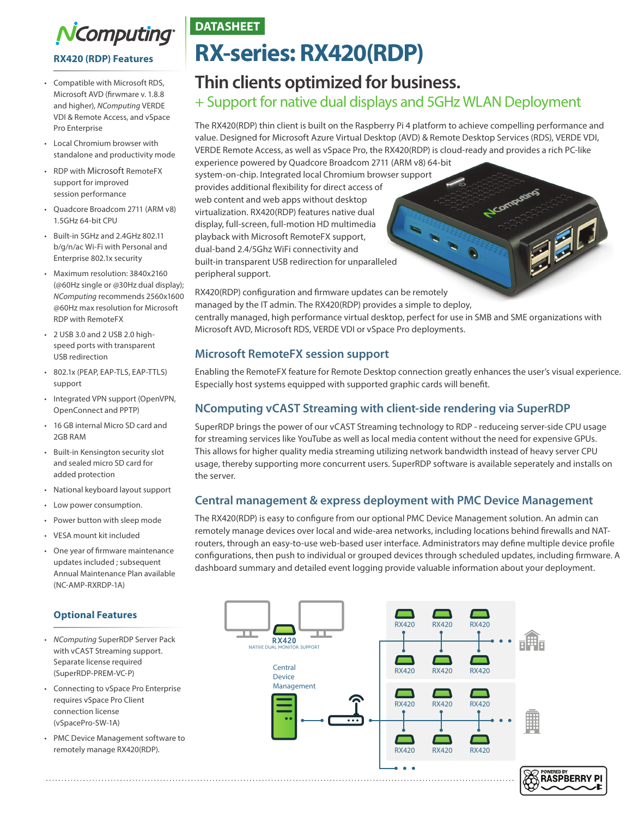

**RX420 (RDP) Features**

- Compatible with Microsoft RDS, Microsoft AVD (firwmare v. 1.8.8 and higher), *NComputing* VERDE VDI & Remote Access, and vSpace Pro Enterprise
- Local Chromium browser with standalone and productivity mode
- RDP with Microsoft RemoteFX support for improved session performance
- Quadcore Broadcom 2711 (ARM v8) 1.5GHz 64-bit CPU
- Built-in 5GHz and 2.4GHz 802.11 b/g/n/ac Wi-Fi with Personal and Enterprise 802.1x security
- Maximum resolution: 3840x2160 (@60Hz single or @30Hz dual display); *NComputing* recommends 2560x1600 @60Hz max resolution for Microsoft RDP with RemoteFX
- 2 USB 3.0 and 2 USB 2.0 highspeed ports with transparent USB redirection
- 802.1x (PEAP, EAP-TLS, EAP-TTLS) support
- Integrated VPN support (OpenVPN, OpenConnect and PPTP)
- 16 GB internal Micro SD card and 2GB RAM
- Built-in Kensington security slot and sealed micro SD card for added protection
- National keyboard layout support
- Low power consumption.
- Power button with sleep mode
- VESA mount kit included
- One year of firmware maintenance updates included ; subsequent Annual Maintenance Plan available (NC-AMP-RXRDP-1A)

## **Optional Features**

- *NComputing* SuperRDP Server Pack with vCAST Streaming support. Separate license required (SuperRDP-PREM-VC-P)
- Connecting to vSpace Pro Enterprise requires vSpace Pro Client connection license (vSpacePro-SW-1A)
- PMC Device Management software to remotely manage RX420(RDP).

# **DATASHEET**

# **RX-series: RX420(RDP)**

# **Thin clients optimized for business.**  + Support for native dual displays and 5GHz WLAN Deployment

The RX420(RDP) thin client is built on the Raspberry Pi 4 platform to achieve compelling performance and value. Designed for Microsoft Azure Virtual Desktop (AVD) & Remote Desktop Services (RDS), VERDE VDI, VERDE Remote Access, as well as vSpace Pro, the RX420(RDP) is cloud-ready and provides a rich PC-like

N.Computing

FEREDA

experience powered by Quadcore Broadcom 2711 (ARM v8) 64-bit system-on-chip. Integrated local Chromium browser support provides additional flexibility for direct access of web content and web apps without desktop virtualization. RX420(RDP) features native dual display, full-screen, full-motion HD multimedia playback with Microsoft RemoteFX support, dual-band 2.4/5Ghz WiFi connectivity and built-in transparent USB redirection for unparalleled peripheral support.

RX420(RDP) configuration and firmware updates can be remotely managed by the IT admin. The RX420(RDP) provides a simple to deploy, centrally managed, high performance virtual desktop, perfect for use in SMB and SME organizations with Microsoft AVD, Microsoft RDS, VERDE VDI or vSpace Pro deployments.

## **Microsoft RemoteFX session support**

Enabling the RemoteFX feature for Remote Desktop connection greatly enhances the user's visual experience. Especially host systems equipped with supported graphic cards will benefit.

# **NComputing vCAST Streaming with client-side rendering via SuperRDP**

SuperRDP brings the power of our vCAST Streaming technology to RDP - reduceing server-side CPU usage for streaming services like YouTube as well as local media content without the need for expensive GPUs. This allows for higher quality media streaming utilizing network bandwidth instead of heavy server CPU usage, thereby supporting more concurrent users. SuperRDP software is available seperately and installs on the server.

## **Central management & express deployment with PMC Device Management**

The RX420(RDP) is easy to configure from our optional PMC Device Management solution. An admin can remotely manage devices over local and wide-area networks, including locations behind firewalls and NATrouters, through an easy-to-use web-based user interface. Administrators may define multiple device profile configurations, then push to individual or grouped devices through scheduled updates, including firmware. A dashboard summary and detailed event logging provide valuable information about your deployment.